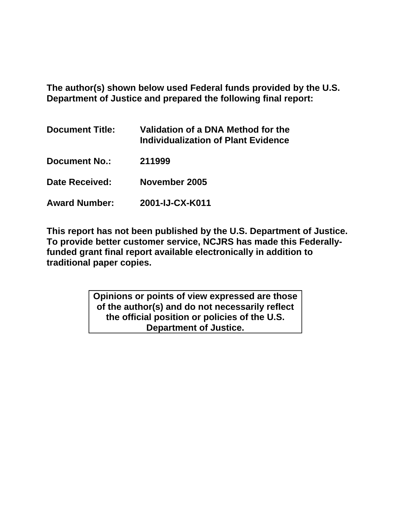**The author(s) shown below used Federal funds provided by the U.S. Department of Justice and prepared the following final report:** 

| <b>Document Title:</b> | Validation of a DNA Method for the<br>Individualization of Plant Evidence |
|------------------------|---------------------------------------------------------------------------|
| <b>Document No.:</b>   | 211999                                                                    |
| Date Received:         | November 2005                                                             |
| <b>Award Number:</b>   | 2001-IJ-CX-K011                                                           |

**This report has not been published by the U.S. Department of Justice. To provide better customer service, NCJRS has made this Federallyfunded grant final report available electronically in addition to traditional paper copies.** 

> **Opinions or points of view expressed are those of the author(s) and do not necessarily reflect the official position or policies of the U.S. Department of Justice.**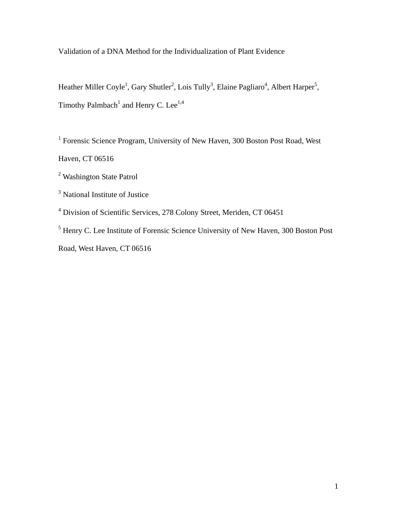Validation of a DNA Method for the Individualization of Plant Evidence

Heather Miller Coyle<sup>1</sup>, Gary Shutler<sup>2</sup>, Lois Tully<sup>3</sup>, Elaine Pagliaro<sup>4</sup>, Albert Harper<sup>5</sup>, Timothy Palmbach<sup>1</sup> and Henry C. Lee<sup>1,4</sup>

<sup>1</sup> Forensic Science Program, University of New Haven, 300 Boston Post Road, West

Haven, CT 06516

<sup>2</sup> Washington State Patrol

<sup>3</sup> National Institute of Justice

<sup>4</sup> Division of Scientific Services, 278 Colony Street, Meriden, CT 06451

<sup>5</sup> Henry C. Lee Institute of Forensic Science University of New Haven, 300 Boston Post Road, West Haven, CT 06516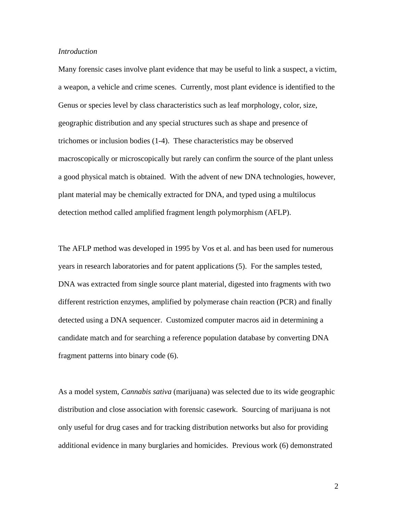#### *Introduction*

Many forensic cases involve plant evidence that may be useful to link a suspect, a victim, a weapon, a vehicle and crime scenes. Currently, most plant evidence is identified to the Genus or species level by class characteristics such as leaf morphology, color, size, geographic distribution and any special structures such as shape and presence of trichomes or inclusion bodies (1-4). These characteristics may be observed macroscopically or microscopically but rarely can confirm the source of the plant unless a good physical match is obtained. With the advent of new DNA technologies, however, plant material may be chemically extracted for DNA, and typed using a multilocus detection method called amplified fragment length polymorphism (AFLP).

The AFLP method was developed in 1995 by Vos et al. and has been used for numerous years in research laboratories and for patent applications (5). For the samples tested, DNA was extracted from single source plant material, digested into fragments with two different restriction enzymes, amplified by polymerase chain reaction (PCR) and finally detected using a DNA sequencer. Customized computer macros aid in determining a candidate match and for searching a reference population database by converting DNA fragment patterns into binary code (6).

As a model system, *Cannabis sativa* (marijuana) was selected due to its wide geographic distribution and close association with forensic casework. Sourcing of marijuana is not only useful for drug cases and for tracking distribution networks but also for providing additional evidence in many burglaries and homicides. Previous work (6) demonstrated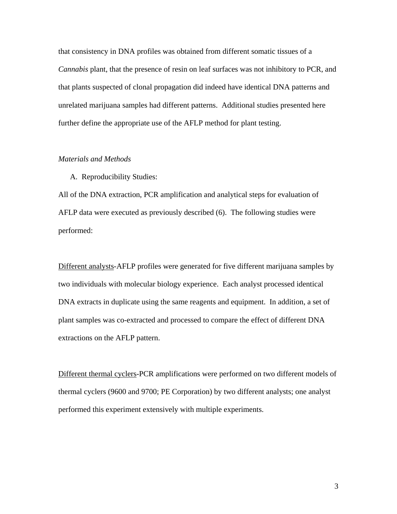that consistency in DNA profiles was obtained from different somatic tissues of a *Cannabis* plant, that the presence of resin on leaf surfaces was not inhibitory to PCR, and that plants suspected of clonal propagation did indeed have identical DNA patterns and unrelated marijuana samples had different patterns. Additional studies presented here further define the appropriate use of the AFLP method for plant testing.

### *Materials and Methods*

A. Reproducibility Studies:

All of the DNA extraction, PCR amplification and analytical steps for evaluation of AFLP data were executed as previously described (6). The following studies were performed:

Different analysts-AFLP profiles were generated for five different marijuana samples by two individuals with molecular biology experience. Each analyst processed identical DNA extracts in duplicate using the same reagents and equipment. In addition, a set of plant samples was co-extracted and processed to compare the effect of different DNA extractions on the AFLP pattern.

Different thermal cyclers-PCR amplifications were performed on two different models of thermal cyclers (9600 and 9700; PE Corporation) by two different analysts; one analyst performed this experiment extensively with multiple experiments.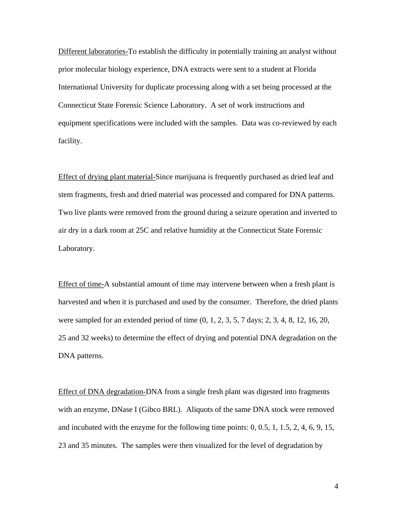Different laboratories-To establish the difficulty in potentially training an analyst without prior molecular biology experience, DNA extracts were sent to a student at Florida International University for duplicate processing along with a set being processed at the Connecticut State Forensic Science Laboratory. A set of work instructions and equipment specifications were included with the samples. Data was co-reviewed by each facility.

Effect of drying plant material-Since marijuana is frequently purchased as dried leaf and stem fragments, fresh and dried material was processed and compared for DNA patterns. Two live plants were removed from the ground during a seizure operation and inverted to air dry in a dark room at 25C and relative humidity at the Connecticut State Forensic Laboratory.

Effect of time-A substantial amount of time may intervene between when a fresh plant is harvested and when it is purchased and used by the consumer. Therefore, the dried plants were sampled for an extended period of time (0, 1, 2, 3, 5, 7 days; 2, 3, 4, 8, 12, 16, 20, 25 and 32 weeks) to determine the effect of drying and potential DNA degradation on the DNA patterns.

Effect of DNA degradation-DNA from a single fresh plant was digested into fragments with an enzyme, DNase I (Gibco BRL). Aliquots of the same DNA stock were removed and incubated with the enzyme for the following time points: 0, 0.5, 1, 1.5, 2, 4, 6, 9, 15, 23 and 35 minutes. The samples were then visualized for the level of degradation by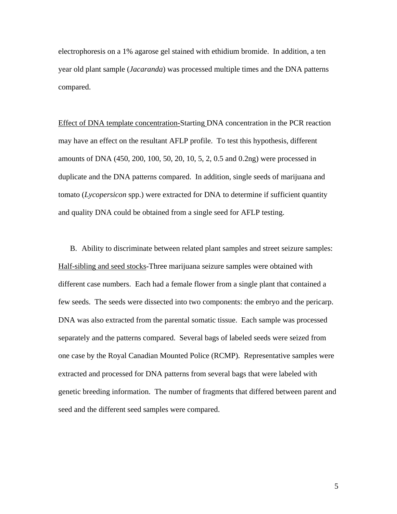electrophoresis on a 1% agarose gel stained with ethidium bromide. In addition, a ten year old plant sample (*Jacaranda*) was processed multiple times and the DNA patterns compared.

Effect of DNA template concentration-Starting DNA concentration in the PCR reaction may have an effect on the resultant AFLP profile. To test this hypothesis, different amounts of DNA (450, 200, 100, 50, 20, 10, 5, 2, 0.5 and 0.2ng) were processed in duplicate and the DNA patterns compared. In addition, single seeds of marijuana and tomato (*Lycopersicon* spp.) were extracted for DNA to determine if sufficient quantity and quality DNA could be obtained from a single seed for AFLP testing.

B. Ability to discriminate between related plant samples and street seizure samples: Half-sibling and seed stocks-Three marijuana seizure samples were obtained with different case numbers. Each had a female flower from a single plant that contained a few seeds. The seeds were dissected into two components: the embryo and the pericarp. DNA was also extracted from the parental somatic tissue. Each sample was processed separately and the patterns compared. Several bags of labeled seeds were seized from one case by the Royal Canadian Mounted Police (RCMP). Representative samples were extracted and processed for DNA patterns from several bags that were labeled with genetic breeding information. The number of fragments that differed between parent and seed and the different seed samples were compared.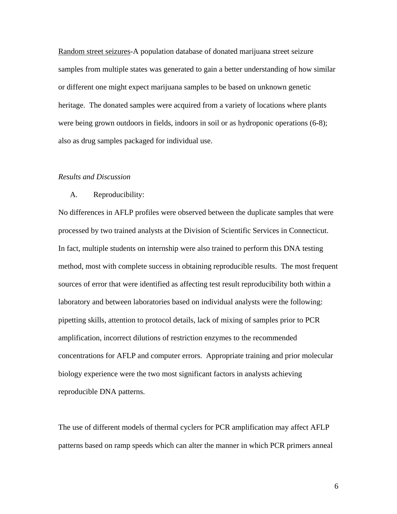Random street seizures-A population database of donated marijuana street seizure samples from multiple states was generated to gain a better understanding of how similar or different one might expect marijuana samples to be based on unknown genetic heritage. The donated samples were acquired from a variety of locations where plants were being grown outdoors in fields, indoors in soil or as hydroponic operations (6-8); also as drug samples packaged for individual use.

#### *Results and Discussion*

#### A. Reproducibility:

No differences in AFLP profiles were observed between the duplicate samples that were processed by two trained analysts at the Division of Scientific Services in Connecticut. In fact, multiple students on internship were also trained to perform this DNA testing method, most with complete success in obtaining reproducible results. The most frequent sources of error that were identified as affecting test result reproducibility both within a laboratory and between laboratories based on individual analysts were the following: pipetting skills, attention to protocol details, lack of mixing of samples prior to PCR amplification, incorrect dilutions of restriction enzymes to the recommended concentrations for AFLP and computer errors. Appropriate training and prior molecular biology experience were the two most significant factors in analysts achieving reproducible DNA patterns.

The use of different models of thermal cyclers for PCR amplification may affect AFLP patterns based on ramp speeds which can alter the manner in which PCR primers anneal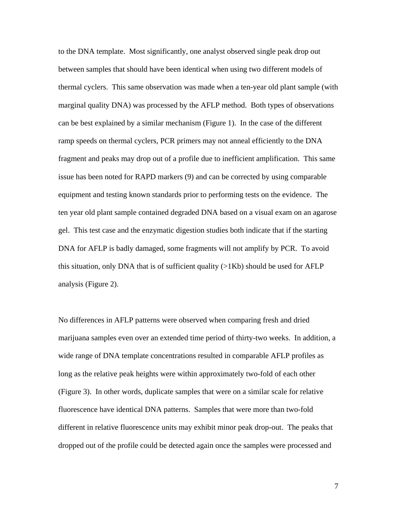to the DNA template. Most significantly, one analyst observed single peak drop out between samples that should have been identical when using two different models of thermal cyclers. This same observation was made when a ten-year old plant sample (with marginal quality DNA) was processed by the AFLP method. Both types of observations can be best explained by a similar mechanism (Figure 1). In the case of the different ramp speeds on thermal cyclers, PCR primers may not anneal efficiently to the DNA fragment and peaks may drop out of a profile due to inefficient amplification. This same issue has been noted for RAPD markers (9) and can be corrected by using comparable equipment and testing known standards prior to performing tests on the evidence. The ten year old plant sample contained degraded DNA based on a visual exam on an agarose gel. This test case and the enzymatic digestion studies both indicate that if the starting DNA for AFLP is badly damaged, some fragments will not amplify by PCR. To avoid this situation, only DNA that is of sufficient quality  $(>\,1Kb)$  should be used for AFLP analysis (Figure 2).

No differences in AFLP patterns were observed when comparing fresh and dried marijuana samples even over an extended time period of thirty-two weeks. In addition, a wide range of DNA template concentrations resulted in comparable AFLP profiles as long as the relative peak heights were within approximately two-fold of each other (Figure 3). In other words, duplicate samples that were on a similar scale for relative fluorescence have identical DNA patterns. Samples that were more than two-fold different in relative fluorescence units may exhibit minor peak drop-out. The peaks that dropped out of the profile could be detected again once the samples were processed and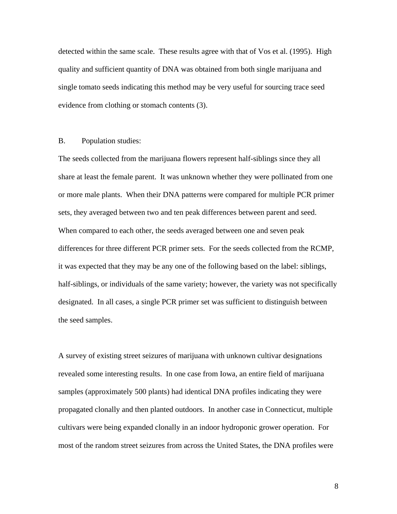detected within the same scale. These results agree with that of Vos et al. (1995). High quality and sufficient quantity of DNA was obtained from both single marijuana and single tomato seeds indicating this method may be very useful for sourcing trace seed evidence from clothing or stomach contents (3).

#### B. Population studies:

The seeds collected from the marijuana flowers represent half-siblings since they all share at least the female parent. It was unknown whether they were pollinated from one or more male plants. When their DNA patterns were compared for multiple PCR primer sets, they averaged between two and ten peak differences between parent and seed. When compared to each other, the seeds averaged between one and seven peak differences for three different PCR primer sets. For the seeds collected from the RCMP, it was expected that they may be any one of the following based on the label: siblings, half-siblings, or individuals of the same variety; however, the variety was not specifically designated. In all cases, a single PCR primer set was sufficient to distinguish between the seed samples.

A survey of existing street seizures of marijuana with unknown cultivar designations revealed some interesting results. In one case from Iowa, an entire field of marijuana samples (approximately 500 plants) had identical DNA profiles indicating they were propagated clonally and then planted outdoors. In another case in Connecticut, multiple cultivars were being expanded clonally in an indoor hydroponic grower operation. For most of the random street seizures from across the United States, the DNA profiles were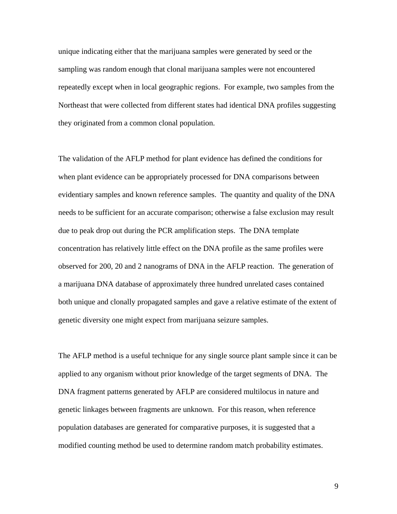unique indicating either that the marijuana samples were generated by seed or the sampling was random enough that clonal marijuana samples were not encountered repeatedly except when in local geographic regions. For example, two samples from the Northeast that were collected from different states had identical DNA profiles suggesting they originated from a common clonal population.

The validation of the AFLP method for plant evidence has defined the conditions for when plant evidence can be appropriately processed for DNA comparisons between evidentiary samples and known reference samples. The quantity and quality of the DNA needs to be sufficient for an accurate comparison; otherwise a false exclusion may result due to peak drop out during the PCR amplification steps. The DNA template concentration has relatively little effect on the DNA profile as the same profiles were observed for 200, 20 and 2 nanograms of DNA in the AFLP reaction. The generation of a marijuana DNA database of approximately three hundred unrelated cases contained both unique and clonally propagated samples and gave a relative estimate of the extent of genetic diversity one might expect from marijuana seizure samples.

The AFLP method is a useful technique for any single source plant sample since it can be applied to any organism without prior knowledge of the target segments of DNA. The DNA fragment patterns generated by AFLP are considered multilocus in nature and genetic linkages between fragments are unknown. For this reason, when reference population databases are generated for comparative purposes, it is suggested that a modified counting method be used to determine random match probability estimates.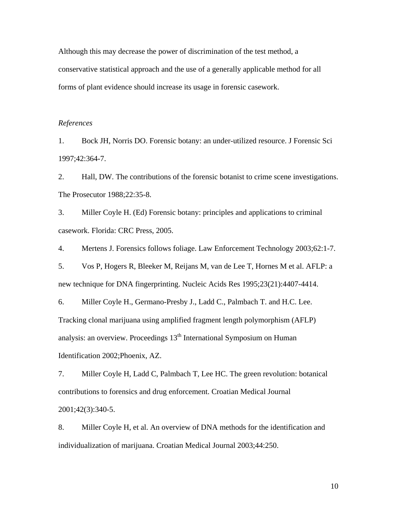Although this may decrease the power of discrimination of the test method, a conservative statistical approach and the use of a generally applicable method for all forms of plant evidence should increase its usage in forensic casework.

#### *References*

1. Bock JH, Norris DO. Forensic botany: an under-utilized resource. J Forensic Sci 1997;42:364-7.

2. Hall, DW. The contributions of the forensic botanist to crime scene investigations. The Prosecutor 1988;22:35-8.

3. Miller Coyle H. (Ed) Forensic botany: principles and applications to criminal casework. Florida: CRC Press, 2005.

4. Mertens J. Forensics follows foliage. Law Enforcement Technology 2003;62:1-7.

5. Vos P, Hogers R, Bleeker M, Reijans M, van de Lee T, Hornes M et al. AFLP: a new technique for DNA fingerprinting. Nucleic Acids Res 1995;23(21):4407-4414.

6. Miller Coyle H., Germano-Presby J., Ladd C., Palmbach T. and H.C. Lee. Tracking clonal marijuana using amplified fragment length polymorphism (AFLP) analysis: an overview. Proceedings  $13<sup>th</sup>$  International Symposium on Human Identification 2002;Phoenix, AZ.

7. Miller Coyle H, Ladd C, Palmbach T, Lee HC. The green revolution: botanical contributions to forensics and drug enforcement. Croatian Medical Journal 2001;42(3):340-5.

8. Miller Coyle H, et al. An overview of DNA methods for the identification and individualization of marijuana. Croatian Medical Journal 2003;44:250.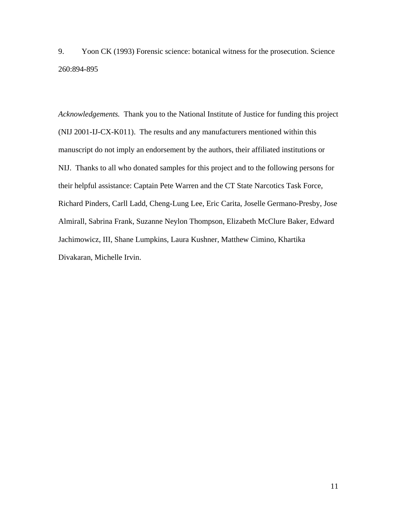9. Yoon CK (1993) Forensic science: botanical witness for the prosecution. Science 260:894-895

*Acknowledgements.* Thank you to the National Institute of Justice for funding this project (NIJ 2001-IJ-CX-K011). The results and any manufacturers mentioned within this manuscript do not imply an endorsement by the authors, their affiliated institutions or NIJ. Thanks to all who donated samples for this project and to the following persons for their helpful assistance: Captain Pete Warren and the CT State Narcotics Task Force, Richard Pinders, Carll Ladd, Cheng-Lung Lee, Eric Carita, Joselle Germano-Presby, Jose Almirall, Sabrina Frank, Suzanne Neylon Thompson, Elizabeth McClure Baker, Edward Jachimowicz, III, Shane Lumpkins, Laura Kushner, Matthew Cimino, Khartika Divakaran, Michelle Irvin.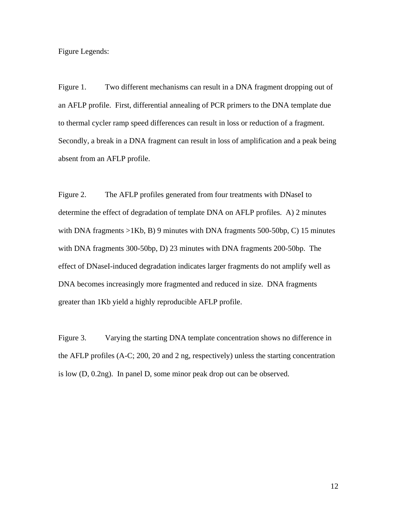Figure Legends:

Figure 1. Two different mechanisms can result in a DNA fragment dropping out of an AFLP profile. First, differential annealing of PCR primers to the DNA template due to thermal cycler ramp speed differences can result in loss or reduction of a fragment. Secondly, a break in a DNA fragment can result in loss of amplification and a peak being absent from an AFLP profile.

Figure 2. The AFLP profiles generated from four treatments with DNaseI to determine the effect of degradation of template DNA on AFLP profiles. A) 2 minutes with DNA fragments  $>1Kb$ , B) 9 minutes with DNA fragments 500-50bp, C) 15 minutes with DNA fragments 300-50bp, D) 23 minutes with DNA fragments 200-50bp. The effect of DNaseI-induced degradation indicates larger fragments do not amplify well as DNA becomes increasingly more fragmented and reduced in size. DNA fragments greater than 1Kb yield a highly reproducible AFLP profile.

Figure 3. Varying the starting DNA template concentration shows no difference in the AFLP profiles (A-C; 200, 20 and 2 ng, respectively) unless the starting concentration is low (D, 0.2ng). In panel D, some minor peak drop out can be observed.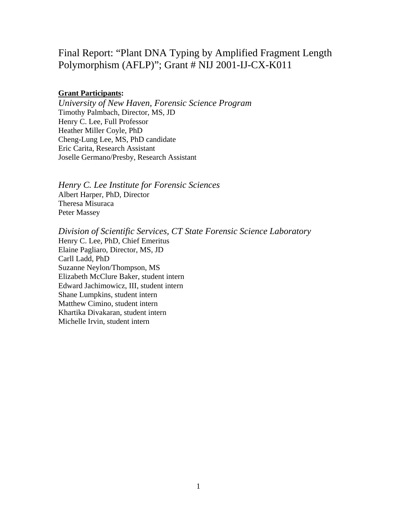# Final Report: "Plant DNA Typing by Amplified Fragment Length Polymorphism (AFLP)"; Grant # NIJ 2001-IJ-CX-K011

## **Grant Participants:**

*University of New Haven, Forensic Science Program*  Timothy Palmbach, Director, MS, JD Henry C. Lee, Full Professor Heather Miller Coyle, PhD Cheng-Lung Lee, MS, PhD candidate Eric Carita, Research Assistant Joselle Germano/Presby, Research Assistant

*Henry C. Lee Institute for Forensic Sciences*  Albert Harper, PhD, Director Theresa Misuraca Peter Massey

*Division of Scientific Services, CT State Forensic Science Laboratory*  Henry C. Lee, PhD, Chief Emeritus Elaine Pagliaro, Director, MS, JD Carll Ladd, PhD Suzanne Neylon/Thompson, MS Elizabeth McClure Baker, student intern Edward Jachimowicz, III, student intern Shane Lumpkins, student intern Matthew Cimino, student intern Khartika Divakaran, student intern Michelle Irvin, student intern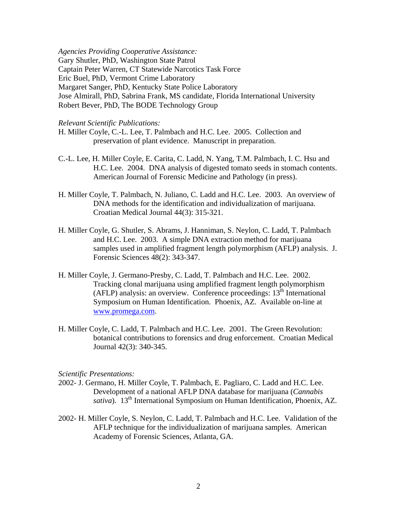*Agencies Providing Cooperative Assistance:*  Gary Shutler, PhD, Washington State Patrol Captain Peter Warren, CT Statewide Narcotics Task Force Eric Buel, PhD, Vermont Crime Laboratory Margaret Sanger, PhD, Kentucky State Police Laboratory Jose Almirall, PhD, Sabrina Frank, MS candidate, Florida International University Robert Bever, PhD, The BODE Technology Group

#### *Relevant Scientific Publications:*

- H. Miller Coyle, C.-L. Lee, T. Palmbach and H.C. Lee. 2005. Collection and preservation of plant evidence. Manuscript in preparation.
- C.-L. Lee, H. Miller Coyle, E. Carita, C. Ladd, N. Yang, T.M. Palmbach, I. C. Hsu and H.C. Lee. 2004. DNA analysis of digested tomato seeds in stomach contents. American Journal of Forensic Medicine and Pathology (in press).
- H. Miller Coyle, T. Palmbach, N. Juliano, C. Ladd and H.C. Lee. 2003. An overview of DNA methods for the identification and individualization of marijuana. Croatian Medical Journal 44(3): 315-321.
- H. Miller Coyle, G. Shutler, S. Abrams, J. Hanniman, S. Neylon, C. Ladd, T. Palmbach and H.C. Lee. 2003. A simple DNA extraction method for marijuana samples used in amplified fragment length polymorphism (AFLP) analysis. J. Forensic Sciences 48(2): 343-347.
- H. Miller Coyle, J. Germano-Presby, C. Ladd, T. Palmbach and H.C. Lee. 2002. Tracking clonal marijuana using amplified fragment length polymorphism (AFLP) analysis: an overview. Conference proceedings:  $13<sup>th</sup>$  International Symposium on Human Identification. Phoenix, AZ. Available on-line at www.promega.com.
- H. Miller Coyle, C. Ladd, T. Palmbach and H.C. Lee. 2001. The Green Revolution: botanical contributions to forensics and drug enforcement. Croatian Medical Journal 42(3): 340-345.

#### *Scientific Presentations:*

- 2002- J. Germano, H. Miller Coyle, T. Palmbach, E. Pagliaro, C. Ladd and H.C. Lee. Development of a national AFLP DNA database for marijuana (*Cannabis sativa*). 13<sup>th</sup> International Symposium on Human Identification, Phoenix, AZ.
- 2002- H. Miller Coyle, S. Neylon, C. Ladd, T. Palmbach and H.C. Lee. Validation of the AFLP technique for the individualization of marijuana samples. American Academy of Forensic Sciences, Atlanta, GA.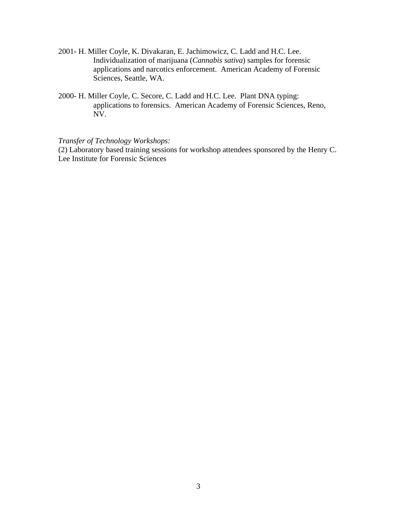- 2001- H. Miller Coyle, K. Divakaran, E. Jachimowicz, C. Ladd and H.C. Lee. Individualization of marijuana (*Cannabis sativa*) samples for forensic applications and narcotics enforcement. American Academy of Forensic Sciences, Seattle, WA.
- 2000- H. Miller Coyle, C. Secore, C. Ladd and H.C. Lee. Plant DNA typing: applications to forensics. American Academy of Forensic Sciences, Reno, NV.

*Transfer of Technology Workshops:* 

(2) Laboratory based training sessions for workshop attendees sponsored by the Henry C. Lee Institute for Forensic Sciences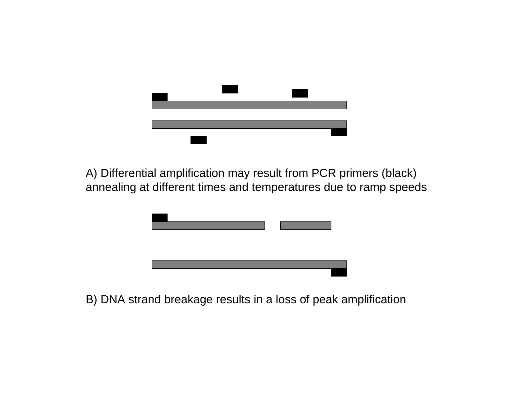

A) Differential amplification may result from PCR primers (black) annealing at different times and temperatures due to ramp speeds



B) DNA strand breakage results in a loss of peak amplification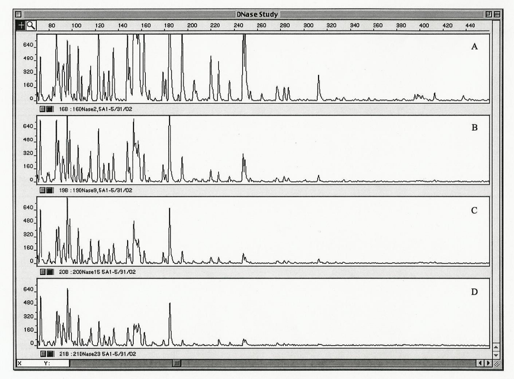